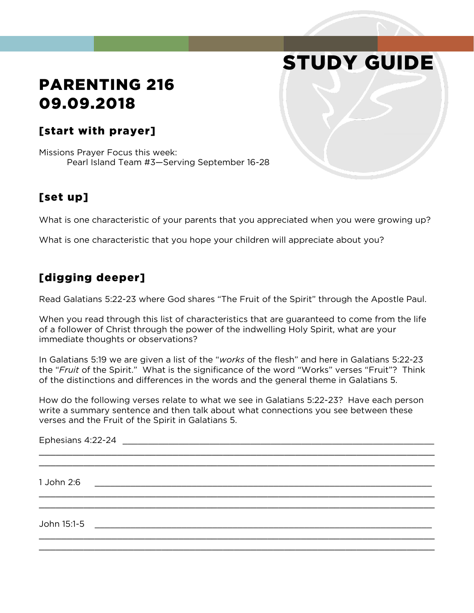# STUDY GUIDE

## PARENTING 216 09.09.2018

#### [start with prayer]

Missions Prayer Focus this week: Pearl Island Team #3—Serving September 16-28

#### [set up]

What is one characteristic of your parents that you appreciated when you were growing up?

What is one characteristic that you hope your children will appreciate about you?

### [digging deeper]

Read Galatians 5:22-23 where God shares "The Fruit of the Spirit" through the Apostle Paul.

When you read through this list of characteristics that are guaranteed to come from the life of a follower of Christ through the power of the indwelling Holy Spirit, what are your immediate thoughts or observations?

In Galatians 5:19 we are given a list of the "*works* of the flesh" and here in Galatians 5:22-23 the "*Fruit* of the Spirit." What is the significance of the word "Works" verses "Fruit"? Think of the distinctions and differences in the words and the general theme in Galatians 5.

How do the following verses relate to what we see in Galatians 5:22-23? Have each person write a summary sentence and then talk about what connections you see between these verses and the Fruit of the Spirit in Galatians 5.

Ephesians  $4:22$ -24  $\blacksquare$ \_\_\_\_\_\_\_\_\_\_\_\_\_\_\_\_\_\_\_\_\_\_\_\_\_\_\_\_\_\_\_\_\_\_\_\_\_\_\_\_\_\_\_\_\_\_\_\_\_\_\_\_\_\_\_\_\_\_\_\_\_\_\_\_\_\_\_\_\_\_\_ \_\_\_\_\_\_\_\_\_\_\_\_\_\_\_\_\_\_\_\_\_\_\_\_\_\_\_\_\_\_\_\_\_\_\_\_\_\_\_\_\_\_\_\_\_\_\_\_\_\_\_\_\_\_\_\_\_\_\_\_\_\_\_\_\_\_\_\_\_\_\_ 1 John 2:6 \_\_\_\_\_\_\_\_\_\_\_\_\_\_\_\_\_\_\_\_\_\_\_\_\_\_\_\_\_\_\_\_\_\_\_\_\_\_\_\_\_\_\_\_\_\_\_\_\_\_\_\_\_\_\_\_\_\_\_\_\_\_\_\_\_\_ \_\_\_\_\_\_\_\_\_\_\_\_\_\_\_\_\_\_\_\_\_\_\_\_\_\_\_\_\_\_\_\_\_\_\_\_\_\_\_\_\_\_\_\_\_\_\_\_\_\_\_\_\_\_\_\_\_\_\_\_\_\_\_\_\_\_\_\_\_\_\_ \_\_\_\_\_\_\_\_\_\_\_\_\_\_\_\_\_\_\_\_\_\_\_\_\_\_\_\_\_\_\_\_\_\_\_\_\_\_\_\_\_\_\_\_\_\_\_\_\_\_\_\_\_\_\_\_\_\_\_\_\_\_\_\_\_\_\_\_\_\_\_ John 15:1-5 \_\_\_\_\_\_\_\_\_\_\_\_\_\_\_\_\_\_\_\_\_\_\_\_\_\_\_\_\_\_\_\_\_\_\_\_\_\_\_\_\_\_\_\_\_\_\_\_\_\_\_\_\_\_\_\_\_\_\_\_\_\_\_\_\_\_ \_\_\_\_\_\_\_\_\_\_\_\_\_\_\_\_\_\_\_\_\_\_\_\_\_\_\_\_\_\_\_\_\_\_\_\_\_\_\_\_\_\_\_\_\_\_\_\_\_\_\_\_\_\_\_\_\_\_\_\_\_\_\_\_\_\_\_\_\_\_\_ \_\_\_\_\_\_\_\_\_\_\_\_\_\_\_\_\_\_\_\_\_\_\_\_\_\_\_\_\_\_\_\_\_\_\_\_\_\_\_\_\_\_\_\_\_\_\_\_\_\_\_\_\_\_\_\_\_\_\_\_\_\_\_\_\_\_\_\_\_\_\_